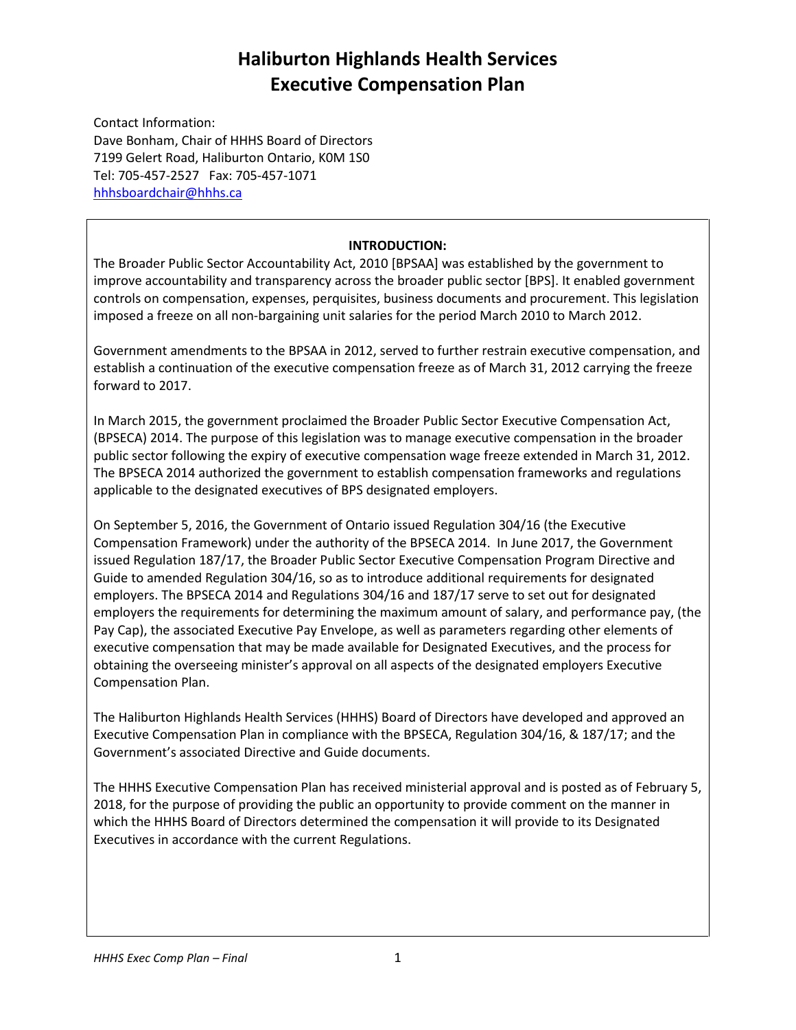Contact Information: Dave Bonham, Chair of HHHS Board of Directors 7199 Gelert Road, Haliburton Ontario, K0M 1S0 Tel: 705-457-2527 Fax: 705-457-1071 [hhhsboardchair@hhhs.ca](mailto:hhhsboardchair@hhhs.ca)

#### **INTRODUCTION:**

The Broader Public Sector Accountability Act, 2010 [BPSAA] was established by the government to improve accountability and transparency across the broader public sector [BPS]. It enabled government controls on compensation, expenses, perquisites, business documents and procurement. This legislation imposed a freeze on all non-bargaining unit salaries for the period March 2010 to March 2012.

Government amendments to the BPSAA in 2012, served to further restrain executive compensation, and establish a continuation of the executive compensation freeze as of March 31, 2012 carrying the freeze forward to 2017.

In March 2015, the government proclaimed the Broader Public Sector Executive Compensation Act, (BPSECA) 2014. The purpose of this legislation was to manage executive compensation in the broader public sector following the expiry of executive compensation wage freeze extended in March 31, 2012. The BPSECA 2014 authorized the government to establish compensation frameworks and regulations applicable to the designated executives of BPS designated employers.

On September 5, 2016, the Government of Ontario issued Regulation 304/16 (the Executive Compensation Framework) under the authority of the BPSECA 2014. In June 2017, the Government issued Regulation 187/17, the Broader Public Sector Executive Compensation Program Directive and Guide to amended Regulation 304/16, so as to introduce additional requirements for designated employers. The BPSECA 2014 and Regulations 304/16 and 187/17 serve to set out for designated employers the requirements for determining the maximum amount of salary, and performance pay, (the Pay Cap), the associated Executive Pay Envelope, as well as parameters regarding other elements of executive compensation that may be made available for Designated Executives, and the process for obtaining the overseeing minister's approval on all aspects of the designated employers Executive Compensation Plan.

The Haliburton Highlands Health Services (HHHS) Board of Directors have developed and approved an Executive Compensation Plan in compliance with the BPSECA, Regulation 304/16, & 187/17; and the Government's associated Directive and Guide documents.

The HHHS Executive Compensation Plan has received ministerial approval and is posted as of February 5, 2018, for the purpose of providing the public an opportunity to provide comment on the manner in which the HHHS Board of Directors determined the compensation it will provide to its Designated Executives in accordance with the current Regulations.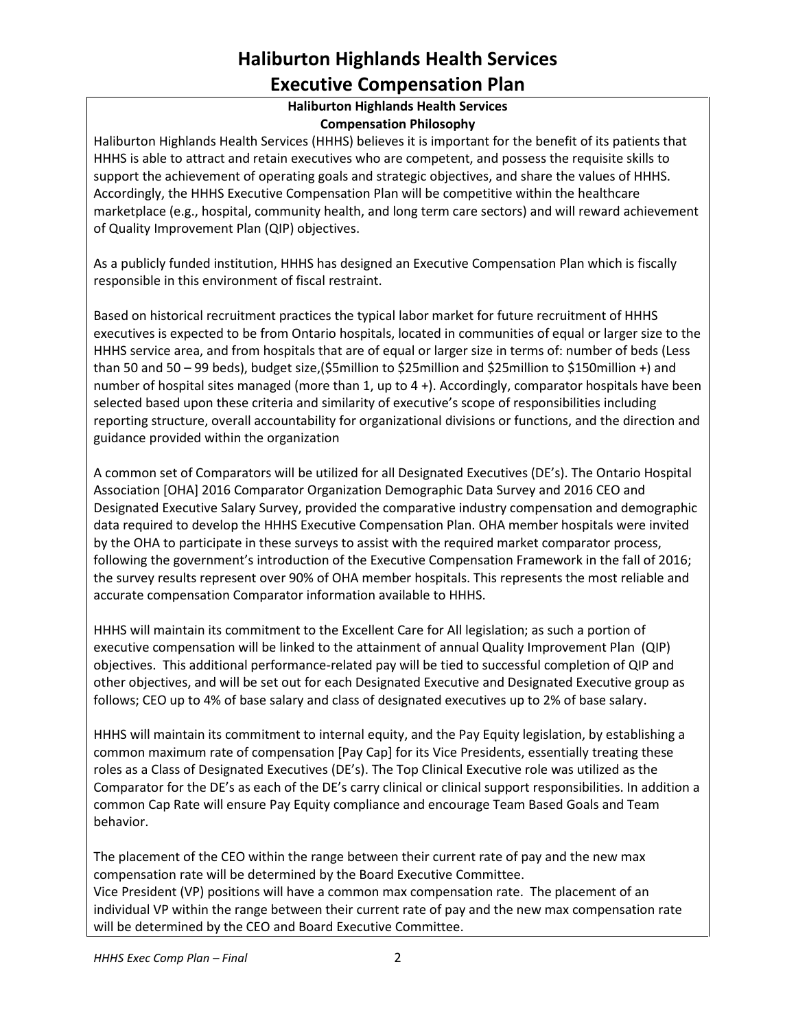#### **Haliburton Highlands Health Services Compensation Philosophy**

Haliburton Highlands Health Services (HHHS) believes it is important for the benefit of its patients that HHHS is able to attract and retain executives who are competent, and possess the requisite skills to support the achievement of operating goals and strategic objectives, and share the values of HHHS. Accordingly, the HHHS Executive Compensation Plan will be competitive within the healthcare marketplace (e.g., hospital, community health, and long term care sectors) and will reward achievement of Quality Improvement Plan (QIP) objectives.

As a publicly funded institution, HHHS has designed an Executive Compensation Plan which is fiscally responsible in this environment of fiscal restraint.

Based on historical recruitment practices the typical labor market for future recruitment of HHHS executives is expected to be from Ontario hospitals, located in communities of equal or larger size to the HHHS service area, and from hospitals that are of equal or larger size in terms of: number of beds (Less than 50 and 50 – 99 beds), budget size,(\$5million to \$25million and \$25million to \$150million +) and number of hospital sites managed (more than 1, up to 4 +). Accordingly, comparator hospitals have been selected based upon these criteria and similarity of executive's scope of responsibilities including reporting structure, overall accountability for organizational divisions or functions, and the direction and guidance provided within the organization

A common set of Comparators will be utilized for all Designated Executives (DE's). The Ontario Hospital Association [OHA] 2016 Comparator Organization Demographic Data Survey and 2016 CEO and Designated Executive Salary Survey, provided the comparative industry compensation and demographic data required to develop the HHHS Executive Compensation Plan. OHA member hospitals were invited by the OHA to participate in these surveys to assist with the required market comparator process, following the government's introduction of the Executive Compensation Framework in the fall of 2016; the survey results represent over 90% of OHA member hospitals. This represents the most reliable and accurate compensation Comparator information available to HHHS.

HHHS will maintain its commitment to the Excellent Care for All legislation; as such a portion of executive compensation will be linked to the attainment of annual Quality Improvement Plan (QIP) objectives. This additional performance-related pay will be tied to successful completion of QIP and other objectives, and will be set out for each Designated Executive and Designated Executive group as follows; CEO up to 4% of base salary and class of designated executives up to 2% of base salary.

HHHS will maintain its commitment to internal equity, and the Pay Equity legislation, by establishing a common maximum rate of compensation [Pay Cap] for its Vice Presidents, essentially treating these roles as a Class of Designated Executives (DE's). The Top Clinical Executive role was utilized as the Comparator for the DE's as each of the DE's carry clinical or clinical support responsibilities. In addition a common Cap Rate will ensure Pay Equity compliance and encourage Team Based Goals and Team behavior.

The placement of the CEO within the range between their current rate of pay and the new max compensation rate will be determined by the Board Executive Committee. Vice President (VP) positions will have a common max compensation rate. The placement of an individual VP within the range between their current rate of pay and the new max compensation rate will be determined by the CEO and Board Executive Committee.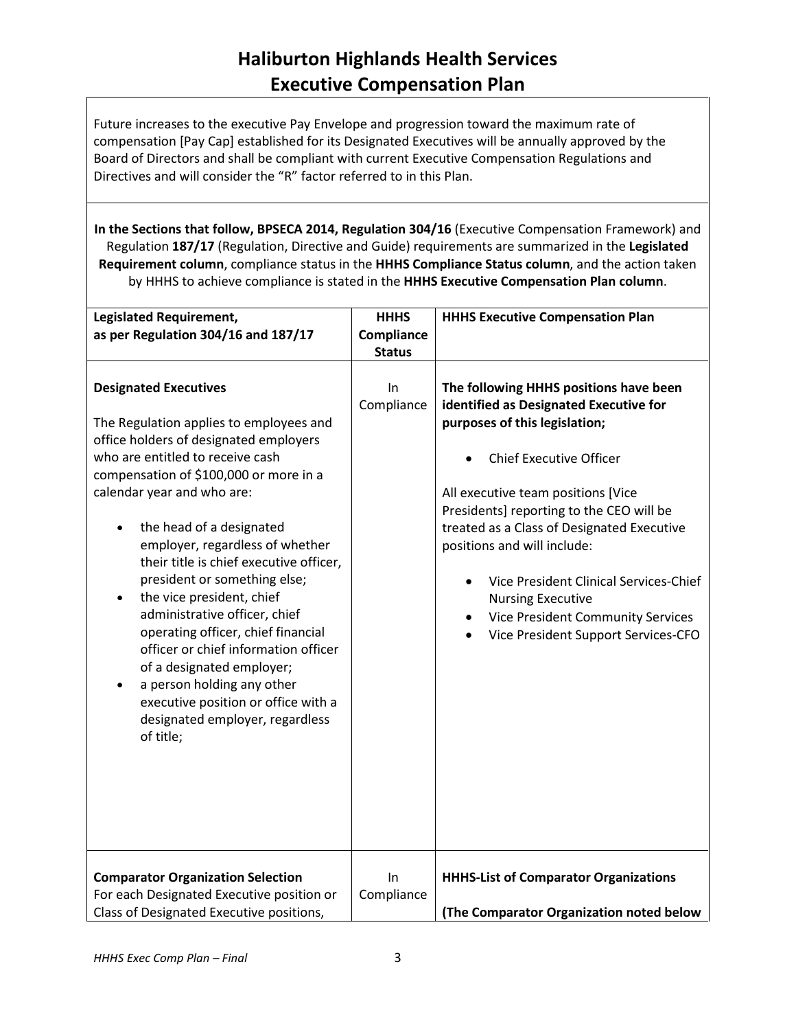Future increases to the executive Pay Envelope and progression toward the maximum rate of compensation [Pay Cap] established for its Designated Executives will be annually approved by the Board of Directors and shall be compliant with current Executive Compensation Regulations and Directives and will consider the "R" factor referred to in this Plan.

**In the Sections that follow, BPSECA 2014, Regulation 304/16** (Executive Compensation Framework) and Regulation **187/17** (Regulation, Directive and Guide) requirements are summarized in the **Legislated Requirement column**, compliance status in the **HHHS Compliance Status column**, and the action taken by HHHS to achieve compliance is stated in the **HHHS Executive Compensation Plan column**.

| <b>Legislated Requirement,</b>                                                                                                                                                                                                                                                                                                                                                                                                                                                                                                                                                                                                                                                     | <b>HHHS</b>      | <b>HHHS Executive Compensation Plan</b>                                                                                                                                                                                                                                                                                                                                                                                                                                     |
|------------------------------------------------------------------------------------------------------------------------------------------------------------------------------------------------------------------------------------------------------------------------------------------------------------------------------------------------------------------------------------------------------------------------------------------------------------------------------------------------------------------------------------------------------------------------------------------------------------------------------------------------------------------------------------|------------------|-----------------------------------------------------------------------------------------------------------------------------------------------------------------------------------------------------------------------------------------------------------------------------------------------------------------------------------------------------------------------------------------------------------------------------------------------------------------------------|
| as per Regulation 304/16 and 187/17                                                                                                                                                                                                                                                                                                                                                                                                                                                                                                                                                                                                                                                | Compliance       |                                                                                                                                                                                                                                                                                                                                                                                                                                                                             |
|                                                                                                                                                                                                                                                                                                                                                                                                                                                                                                                                                                                                                                                                                    | <b>Status</b>    |                                                                                                                                                                                                                                                                                                                                                                                                                                                                             |
| <b>Designated Executives</b><br>The Regulation applies to employees and<br>office holders of designated employers<br>who are entitled to receive cash<br>compensation of \$100,000 or more in a<br>calendar year and who are:<br>the head of a designated<br>employer, regardless of whether<br>their title is chief executive officer,<br>president or something else;<br>the vice president, chief<br>$\bullet$<br>administrative officer, chief<br>operating officer, chief financial<br>officer or chief information officer<br>of a designated employer;<br>a person holding any other<br>executive position or office with a<br>designated employer, regardless<br>of title; | In<br>Compliance | The following HHHS positions have been<br>identified as Designated Executive for<br>purposes of this legislation;<br><b>Chief Executive Officer</b><br>All executive team positions [Vice<br>Presidents] reporting to the CEO will be<br>treated as a Class of Designated Executive<br>positions and will include:<br>Vice President Clinical Services-Chief<br><b>Nursing Executive</b><br><b>Vice President Community Services</b><br>Vice President Support Services-CFO |
| <b>Comparator Organization Selection</b><br>For each Designated Executive position or<br>Class of Designated Executive positions,                                                                                                                                                                                                                                                                                                                                                                                                                                                                                                                                                  | In<br>Compliance | <b>HHHS-List of Comparator Organizations</b><br>(The Comparator Organization noted below                                                                                                                                                                                                                                                                                                                                                                                    |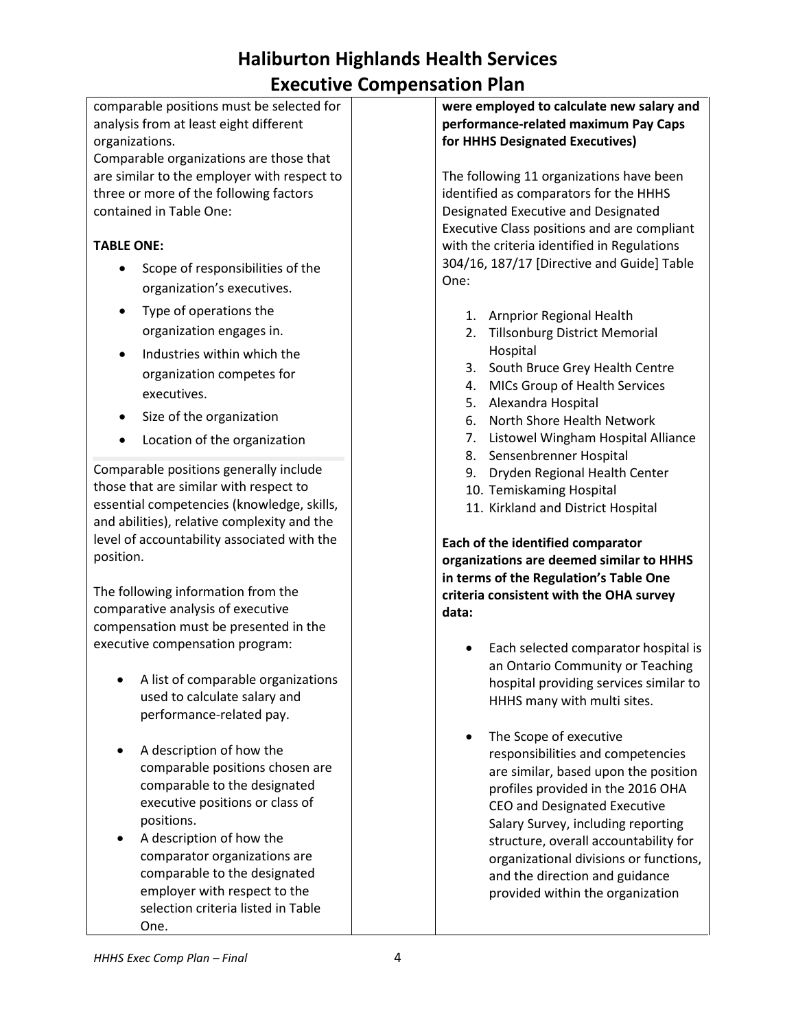|                   | comparable positions must be selected for   | were e         |
|-------------------|---------------------------------------------|----------------|
|                   | analysis from at least eight different      | perform        |
| organizations.    |                                             | for HHI        |
|                   | Comparable organizations are those that     |                |
|                   | are similar to the employer with respect to | The fol        |
|                   | three or more of the following factors      | identifi       |
|                   | contained in Table One:                     | Designa        |
|                   |                                             | Executi        |
| <b>TABLE ONE:</b> |                                             | with th        |
|                   | Scope of responsibilities of the            | 304/16<br>One: |
|                   | organization's executives.                  |                |
|                   | Type of operations the                      | 1.             |
|                   | organization engages in.                    | 2.             |
|                   | Industries within which the                 |                |
|                   | organization competes for                   | 3.             |
|                   | executives.                                 | 4.             |
|                   |                                             | 5.             |
|                   | Size of the organization                    | 6.             |
|                   | Location of the organization                | 7.             |
|                   | Comparable positions generally include      | 8.             |
|                   | those that are similar with respect to      | 9.<br>10.      |
|                   | essential competencies (knowledge, skills,  | 11.            |
|                   | and abilities), relative complexity and the |                |
|                   | level of accountability associated with the | Each of        |
| position.         |                                             | organiz        |
|                   |                                             | in term        |
|                   | The following information from the          | criteria       |
|                   | comparative analysis of executive           | data:          |
|                   | compensation must be presented in the       |                |
|                   | executive compensation program:             |                |
|                   |                                             |                |
|                   | A list of comparable organizations          |                |
|                   | used to calculate salary and                |                |
|                   | performance-related pay.                    |                |
|                   | A description of how the                    |                |
|                   | comparable positions chosen are             |                |
|                   | comparable to the designated                |                |
|                   | executive positions or class of             |                |
|                   | positions.                                  |                |
|                   | A description of how the                    |                |
|                   | comparator organizations are                |                |
|                   | comparable to the designated                |                |
|                   | employer with respect to the                |                |
|                   | selection criteria listed in Table          |                |

**were employed to calculate new salary and performance-related maximum Pay Caps for HS Designated Executives)** 

lowing 11 organizations have been ied as comparators for the HHHS ated Executive and Designated ive Class positions and are compliant e criteria identified in Regulations 5, 187/17 [Directive and Guide] Table

- 1. Arnprior Regional Health
- **Tillsonburg District Memorial** Hospital
- 3. South Bruce Grey Health Centre
- MICs Group of Health Services
- 5. Alexandra Hospital
- 6. North Shore Health Network
- Listowel Wingham Hospital Alliance
- Sensenbrenner Hospital
- 9. Dryden Regional Health Center
- 10. Temiskaming Hospital
- Kirkland and District Hospital

**Each of the identified comparator organizations are deemed similar to HHHS in terms of the Regulation's Table One criteria consistent with the OHA survey** 

- Each selected comparator hospital is an Ontario Community or Teaching hospital providing services similar to HHHS many with multi sites.
- The Scope of executive responsibilities and competencies are similar, based upon the position profiles provided in the 2016 OHA CEO and Designated Executive Salary Survey, including reporting structure, overall accountability for organizational divisions or functions, and the direction and guidance provided within the organization

One.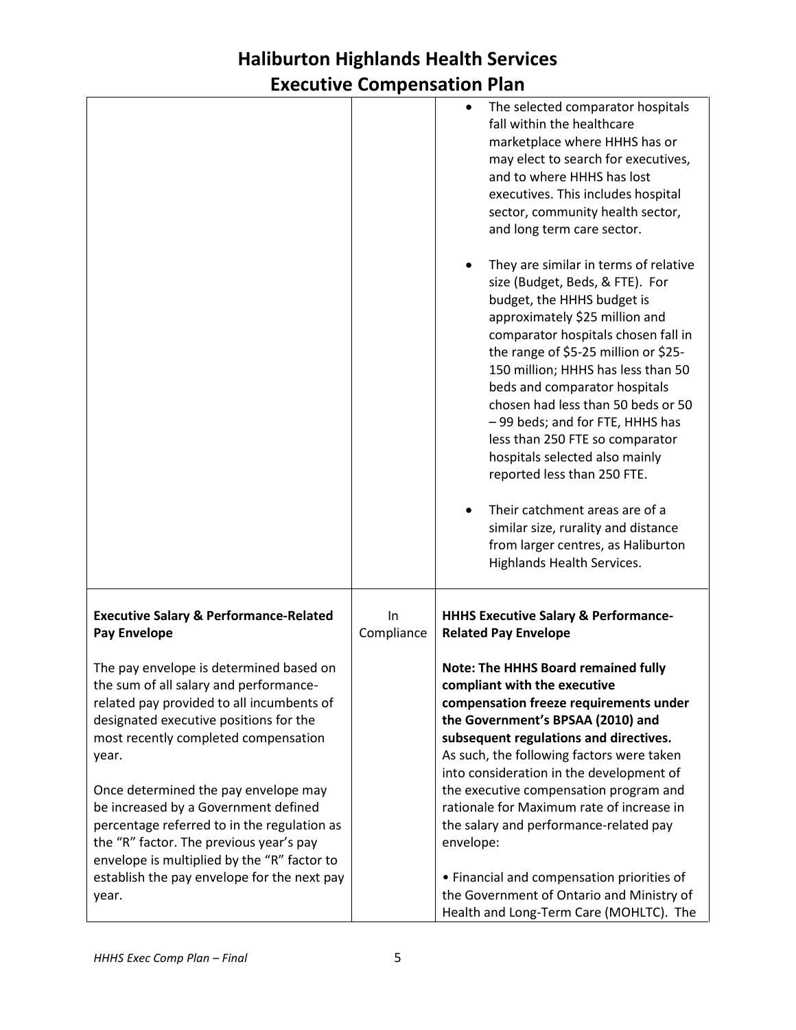|                                                                                                                                                                                                                                                                                                                                                          |                  | The selected comparator hospitals<br>fall within the healthcare<br>marketplace where HHHS has or<br>may elect to search for executives,<br>and to where HHHS has lost<br>executives. This includes hospital<br>sector, community health sector,<br>and long term care sector.                                                                                                                                                                                                                                                                        |
|----------------------------------------------------------------------------------------------------------------------------------------------------------------------------------------------------------------------------------------------------------------------------------------------------------------------------------------------------------|------------------|------------------------------------------------------------------------------------------------------------------------------------------------------------------------------------------------------------------------------------------------------------------------------------------------------------------------------------------------------------------------------------------------------------------------------------------------------------------------------------------------------------------------------------------------------|
|                                                                                                                                                                                                                                                                                                                                                          |                  | They are similar in terms of relative<br>size (Budget, Beds, & FTE). For<br>budget, the HHHS budget is<br>approximately \$25 million and<br>comparator hospitals chosen fall in<br>the range of \$5-25 million or \$25-<br>150 million; HHHS has less than 50<br>beds and comparator hospitals<br>chosen had less than 50 beds or 50<br>-99 beds; and for FTE, HHHS has<br>less than 250 FTE so comparator<br>hospitals selected also mainly<br>reported less than 250 FTE.<br>Their catchment areas are of a<br>similar size, rurality and distance |
|                                                                                                                                                                                                                                                                                                                                                          |                  | from larger centres, as Haliburton<br>Highlands Health Services.                                                                                                                                                                                                                                                                                                                                                                                                                                                                                     |
| <b>Executive Salary &amp; Performance-Related</b><br><b>Pay Envelope</b>                                                                                                                                                                                                                                                                                 | In<br>Compliance | <b>HHHS Executive Salary &amp; Performance-</b><br><b>Related Pay Envelope</b>                                                                                                                                                                                                                                                                                                                                                                                                                                                                       |
| The pay envelope is determined based on<br>the sum of all salary and performance-<br>related pay provided to all incumbents of<br>designated executive positions for the<br>most recently completed compensation<br>year.<br>Once determined the pay envelope may<br>be increased by a Government defined<br>percentage referred to in the regulation as |                  | <b>Note: The HHHS Board remained fully</b><br>compliant with the executive<br>compensation freeze requirements under<br>the Government's BPSAA (2010) and<br>subsequent regulations and directives.<br>As such, the following factors were taken<br>into consideration in the development of<br>the executive compensation program and<br>rationale for Maximum rate of increase in<br>the salary and performance-related pay                                                                                                                        |
| the "R" factor. The previous year's pay<br>envelope is multiplied by the "R" factor to<br>establish the pay envelope for the next pay<br>year.                                                                                                                                                                                                           |                  | envelope:<br>• Financial and compensation priorities of<br>the Government of Ontario and Ministry of<br>Health and Long-Term Care (MOHLTC). The                                                                                                                                                                                                                                                                                                                                                                                                      |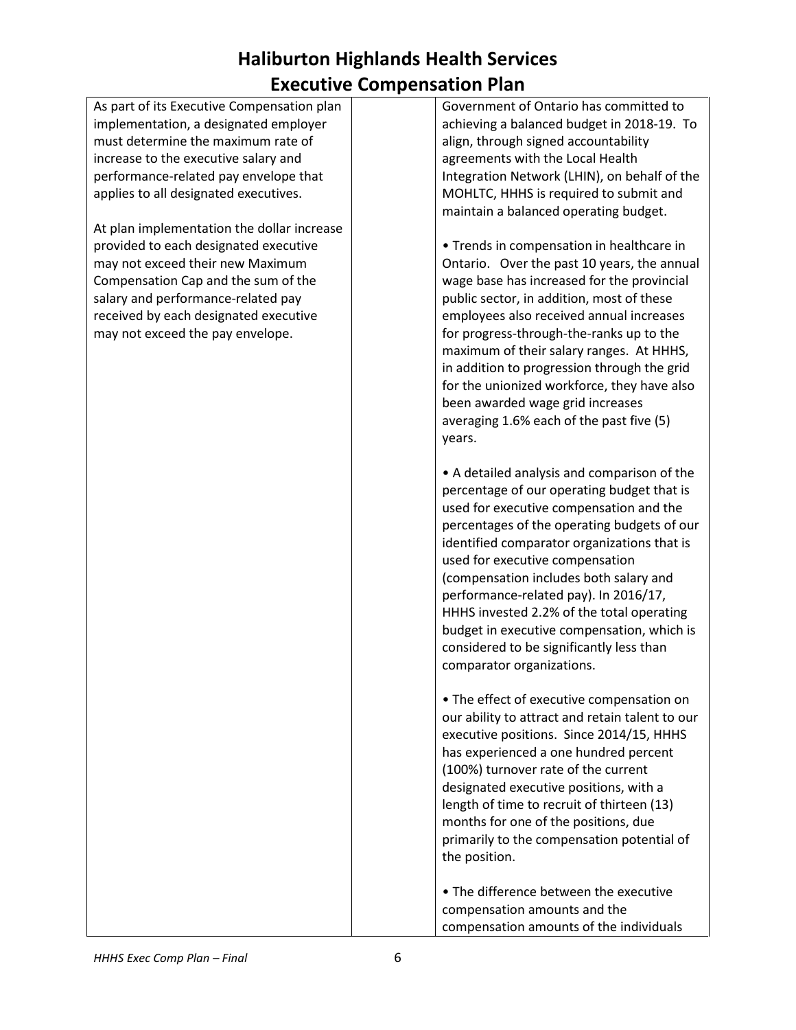| As part of its Executive Compensation plan | Government of Ontario has committed to          |
|--------------------------------------------|-------------------------------------------------|
| implementation, a designated employer      | achieving a balanced budget in 2018-19. To      |
| must determine the maximum rate of         | align, through signed accountability            |
| increase to the executive salary and       | agreements with the Local Health                |
| performance-related pay envelope that      | Integration Network (LHIN), on behalf of the    |
| applies to all designated executives.      | MOHLTC, HHHS is required to submit and          |
|                                            | maintain a balanced operating budget.           |
| At plan implementation the dollar increase |                                                 |
| provided to each designated executive      | • Trends in compensation in healthcare in       |
| may not exceed their new Maximum           | Ontario. Over the past 10 years, the annual     |
| Compensation Cap and the sum of the        | wage base has increased for the provincial      |
|                                            |                                                 |
| salary and performance-related pay         | public sector, in addition, most of these       |
| received by each designated executive      | employees also received annual increases        |
| may not exceed the pay envelope.           | for progress-through-the-ranks up to the        |
|                                            | maximum of their salary ranges. At HHHS,        |
|                                            | in addition to progression through the grid     |
|                                            | for the unionized workforce, they have also     |
|                                            | been awarded wage grid increases                |
|                                            | averaging 1.6% each of the past five (5)        |
|                                            | years.                                          |
|                                            |                                                 |
|                                            | • A detailed analysis and comparison of the     |
|                                            | percentage of our operating budget that is      |
|                                            | used for executive compensation and the         |
|                                            | percentages of the operating budgets of our     |
|                                            | identified comparator organizations that is     |
|                                            | used for executive compensation                 |
|                                            | (compensation includes both salary and          |
|                                            | performance-related pay). In 2016/17,           |
|                                            | HHHS invested 2.2% of the total operating       |
|                                            | budget in executive compensation, which is      |
|                                            | considered to be significantly less than        |
|                                            | comparator organizations.                       |
|                                            |                                                 |
|                                            | • The effect of executive compensation on       |
|                                            | our ability to attract and retain talent to our |
|                                            | executive positions. Since 2014/15, HHHS        |
|                                            | has experienced a one hundred percent           |
|                                            |                                                 |
|                                            | (100%) turnover rate of the current             |
|                                            | designated executive positions, with a          |
|                                            | length of time to recruit of thirteen (13)      |
|                                            | months for one of the positions, due            |
|                                            | primarily to the compensation potential of      |
|                                            | the position.                                   |
|                                            |                                                 |
|                                            | • The difference between the executive          |
|                                            | compensation amounts and the                    |
|                                            | compensation amounts of the individuals         |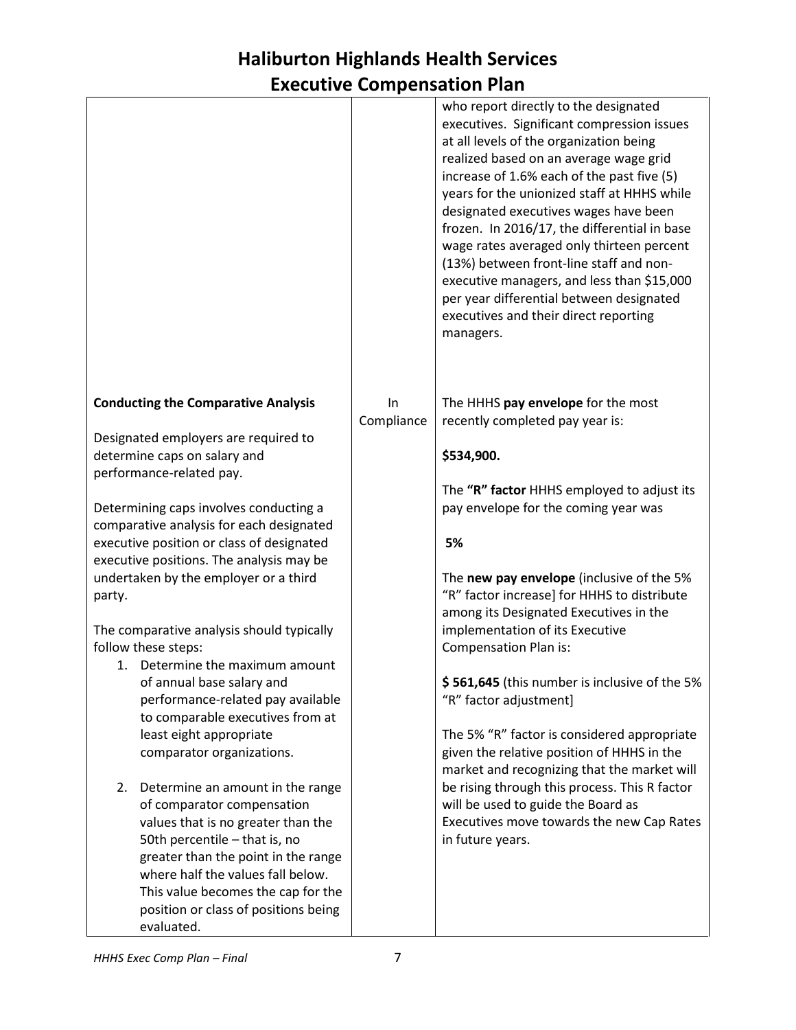|                                                                                    |            | who report directly to the designated<br>executives. Significant compression issues<br>at all levels of the organization being<br>realized based on an average wage grid<br>increase of 1.6% each of the past five (5)<br>years for the unionized staff at HHHS while<br>designated executives wages have been<br>frozen. In 2016/17, the differential in base<br>wage rates averaged only thirteen percent<br>(13%) between front-line staff and non-<br>executive managers, and less than \$15,000<br>per year differential between designated<br>executives and their direct reporting<br>managers. |
|------------------------------------------------------------------------------------|------------|--------------------------------------------------------------------------------------------------------------------------------------------------------------------------------------------------------------------------------------------------------------------------------------------------------------------------------------------------------------------------------------------------------------------------------------------------------------------------------------------------------------------------------------------------------------------------------------------------------|
| <b>Conducting the Comparative Analysis</b>                                         | <b>In</b>  | The HHHS pay envelope for the most                                                                                                                                                                                                                                                                                                                                                                                                                                                                                                                                                                     |
| Designated employers are required to                                               | Compliance | recently completed pay year is:                                                                                                                                                                                                                                                                                                                                                                                                                                                                                                                                                                        |
| determine caps on salary and                                                       |            | \$534,900.                                                                                                                                                                                                                                                                                                                                                                                                                                                                                                                                                                                             |
| performance-related pay.                                                           |            |                                                                                                                                                                                                                                                                                                                                                                                                                                                                                                                                                                                                        |
|                                                                                    |            | The "R" factor HHHS employed to adjust its                                                                                                                                                                                                                                                                                                                                                                                                                                                                                                                                                             |
| Determining caps involves conducting a<br>comparative analysis for each designated |            | pay envelope for the coming year was                                                                                                                                                                                                                                                                                                                                                                                                                                                                                                                                                                   |
| executive position or class of designated                                          |            | 5%                                                                                                                                                                                                                                                                                                                                                                                                                                                                                                                                                                                                     |
| executive positions. The analysis may be                                           |            |                                                                                                                                                                                                                                                                                                                                                                                                                                                                                                                                                                                                        |
| undertaken by the employer or a third                                              |            | The new pay envelope (inclusive of the 5%<br>"R" factor increase] for HHHS to distribute                                                                                                                                                                                                                                                                                                                                                                                                                                                                                                               |
| party.                                                                             |            | among its Designated Executives in the                                                                                                                                                                                                                                                                                                                                                                                                                                                                                                                                                                 |
| The comparative analysis should typically                                          |            | implementation of its Executive                                                                                                                                                                                                                                                                                                                                                                                                                                                                                                                                                                        |
| follow these steps:                                                                |            | Compensation Plan is:                                                                                                                                                                                                                                                                                                                                                                                                                                                                                                                                                                                  |
| 1. Determine the maximum amount<br>of annual base salary and                       |            | \$561,645 (this number is inclusive of the 5%                                                                                                                                                                                                                                                                                                                                                                                                                                                                                                                                                          |
| performance-related pay available                                                  |            | "R" factor adjustment]                                                                                                                                                                                                                                                                                                                                                                                                                                                                                                                                                                                 |
| to comparable executives from at                                                   |            |                                                                                                                                                                                                                                                                                                                                                                                                                                                                                                                                                                                                        |
| least eight appropriate                                                            |            | The 5% "R" factor is considered appropriate                                                                                                                                                                                                                                                                                                                                                                                                                                                                                                                                                            |
| comparator organizations.                                                          |            | given the relative position of HHHS in the<br>market and recognizing that the market will                                                                                                                                                                                                                                                                                                                                                                                                                                                                                                              |
| Determine an amount in the range<br>2.                                             |            | be rising through this process. This R factor                                                                                                                                                                                                                                                                                                                                                                                                                                                                                                                                                          |
| of comparator compensation                                                         |            | will be used to guide the Board as                                                                                                                                                                                                                                                                                                                                                                                                                                                                                                                                                                     |
| values that is no greater than the                                                 |            | Executives move towards the new Cap Rates                                                                                                                                                                                                                                                                                                                                                                                                                                                                                                                                                              |
| 50th percentile - that is, no<br>greater than the point in the range               |            | in future years.                                                                                                                                                                                                                                                                                                                                                                                                                                                                                                                                                                                       |
| where half the values fall below.                                                  |            |                                                                                                                                                                                                                                                                                                                                                                                                                                                                                                                                                                                                        |
| This value becomes the cap for the                                                 |            |                                                                                                                                                                                                                                                                                                                                                                                                                                                                                                                                                                                                        |
| position or class of positions being                                               |            |                                                                                                                                                                                                                                                                                                                                                                                                                                                                                                                                                                                                        |
| evaluated.                                                                         |            |                                                                                                                                                                                                                                                                                                                                                                                                                                                                                                                                                                                                        |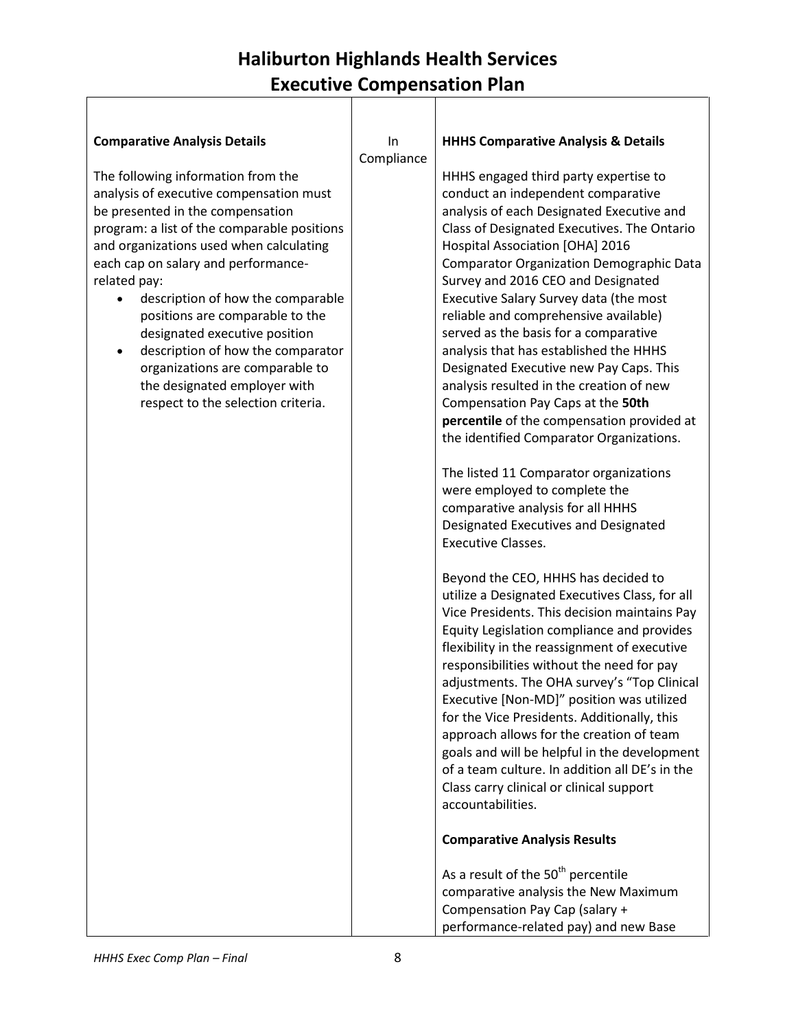| <b>Comparative Analysis Details</b>                                                                                                                                                                                                                                                                                                                                                                                                                                                                                                         | In<br>Compliance | <b>HHHS Comparative Analysis &amp; Details</b>                                                                                                                                                                                                                                                                                                                                                                                                                                                                                                                                                                                                                                                                                                                                                                                                                                       |
|---------------------------------------------------------------------------------------------------------------------------------------------------------------------------------------------------------------------------------------------------------------------------------------------------------------------------------------------------------------------------------------------------------------------------------------------------------------------------------------------------------------------------------------------|------------------|--------------------------------------------------------------------------------------------------------------------------------------------------------------------------------------------------------------------------------------------------------------------------------------------------------------------------------------------------------------------------------------------------------------------------------------------------------------------------------------------------------------------------------------------------------------------------------------------------------------------------------------------------------------------------------------------------------------------------------------------------------------------------------------------------------------------------------------------------------------------------------------|
| The following information from the<br>analysis of executive compensation must<br>be presented in the compensation<br>program: a list of the comparable positions<br>and organizations used when calculating<br>each cap on salary and performance-<br>related pay:<br>description of how the comparable<br>٠<br>positions are comparable to the<br>designated executive position<br>description of how the comparator<br>$\bullet$<br>organizations are comparable to<br>the designated employer with<br>respect to the selection criteria. |                  | HHHS engaged third party expertise to<br>conduct an independent comparative<br>analysis of each Designated Executive and<br>Class of Designated Executives. The Ontario<br>Hospital Association [OHA] 2016<br><b>Comparator Organization Demographic Data</b><br>Survey and 2016 CEO and Designated<br>Executive Salary Survey data (the most<br>reliable and comprehensive available)<br>served as the basis for a comparative<br>analysis that has established the HHHS<br>Designated Executive new Pay Caps. This<br>analysis resulted in the creation of new<br>Compensation Pay Caps at the 50th<br>percentile of the compensation provided at<br>the identified Comparator Organizations.<br>The listed 11 Comparator organizations<br>were employed to complete the<br>comparative analysis for all HHHS<br>Designated Executives and Designated<br><b>Executive Classes.</b> |
|                                                                                                                                                                                                                                                                                                                                                                                                                                                                                                                                             |                  | Beyond the CEO, HHHS has decided to<br>utilize a Designated Executives Class, for all<br>Vice Presidents. This decision maintains Pay<br>Equity Legislation compliance and provides<br>flexibility in the reassignment of executive<br>responsibilities without the need for pay<br>adjustments. The OHA survey's "Top Clinical<br>Executive [Non-MD]" position was utilized<br>for the Vice Presidents. Additionally, this<br>approach allows for the creation of team<br>goals and will be helpful in the development<br>of a team culture. In addition all DE's in the<br>Class carry clinical or clinical support<br>accountabilities.<br><b>Comparative Analysis Results</b>                                                                                                                                                                                                    |
|                                                                                                                                                                                                                                                                                                                                                                                                                                                                                                                                             |                  | As a result of the 50 <sup>th</sup> percentile<br>comparative analysis the New Maximum<br>Compensation Pay Cap (salary +<br>performance-related pay) and new Base                                                                                                                                                                                                                                                                                                                                                                                                                                                                                                                                                                                                                                                                                                                    |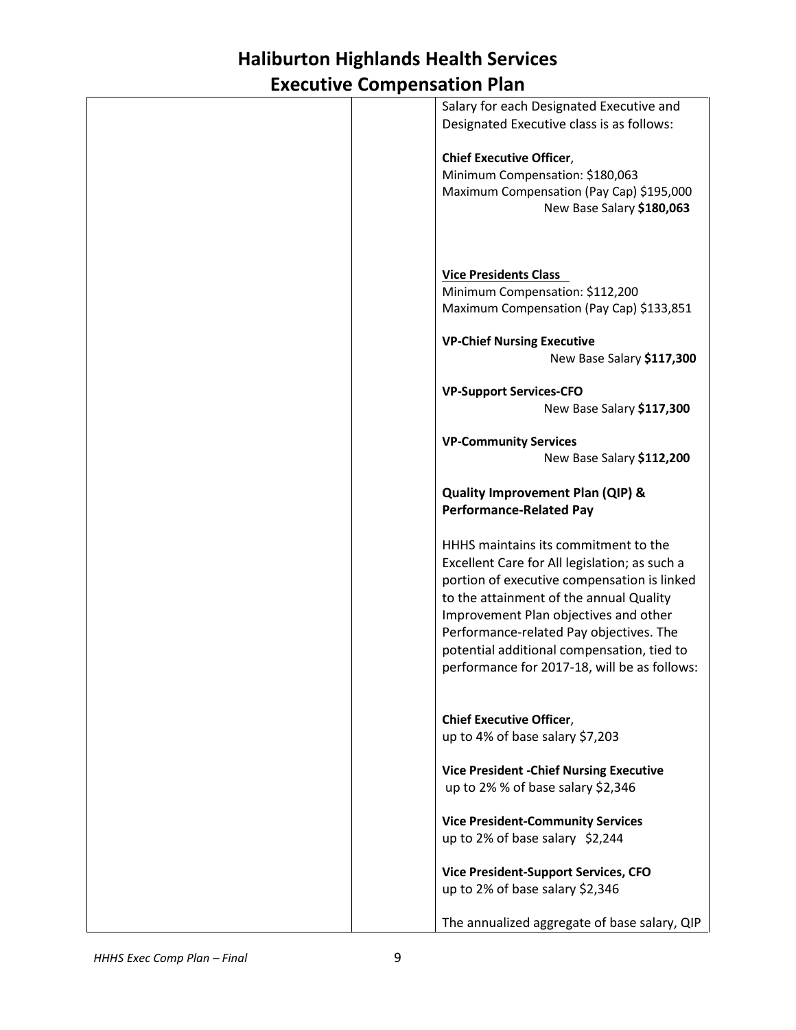|  | Salary for each Designated Executive and<br>Designated Executive class is as follows: |
|--|---------------------------------------------------------------------------------------|
|  | <b>Chief Executive Officer,</b>                                                       |
|  | Minimum Compensation: \$180,063                                                       |
|  | Maximum Compensation (Pay Cap) \$195,000                                              |
|  | New Base Salary \$180,063                                                             |
|  |                                                                                       |
|  |                                                                                       |
|  |                                                                                       |
|  |                                                                                       |
|  | <b>Vice Presidents Class</b>                                                          |
|  | Minimum Compensation: \$112,200                                                       |
|  | Maximum Compensation (Pay Cap) \$133,851                                              |
|  |                                                                                       |
|  | <b>VP-Chief Nursing Executive</b>                                                     |
|  | New Base Salary \$117,300                                                             |
|  |                                                                                       |
|  |                                                                                       |
|  | <b>VP-Support Services-CFO</b>                                                        |
|  | New Base Salary \$117,300                                                             |
|  |                                                                                       |
|  | <b>VP-Community Services</b>                                                          |
|  | New Base Salary \$112,200                                                             |
|  |                                                                                       |
|  | Quality Improvement Plan (QIP) &                                                      |
|  | <b>Performance-Related Pay</b>                                                        |
|  |                                                                                       |
|  | HHHS maintains its commitment to the                                                  |
|  |                                                                                       |
|  | Excellent Care for All legislation; as such a                                         |
|  | portion of executive compensation is linked                                           |
|  | to the attainment of the annual Quality                                               |
|  | Improvement Plan objectives and other                                                 |
|  | Performance-related Pay objectives. The                                               |
|  |                                                                                       |
|  | potential additional compensation, tied to                                            |
|  | performance for 2017-18, will be as follows:                                          |
|  |                                                                                       |
|  |                                                                                       |
|  | <b>Chief Executive Officer,</b>                                                       |
|  | up to 4% of base salary \$7,203                                                       |
|  |                                                                                       |
|  | <b>Vice President - Chief Nursing Executive</b>                                       |
|  | up to 2% % of base salary \$2,346                                                     |
|  |                                                                                       |
|  | <b>Vice President-Community Services</b>                                              |
|  |                                                                                       |
|  | up to 2% of base salary \$2,244                                                       |
|  |                                                                                       |
|  | <b>Vice President-Support Services, CFO</b>                                           |
|  | up to 2% of base salary \$2,346                                                       |
|  |                                                                                       |
|  | The annualized aggregate of base salary, QIP                                          |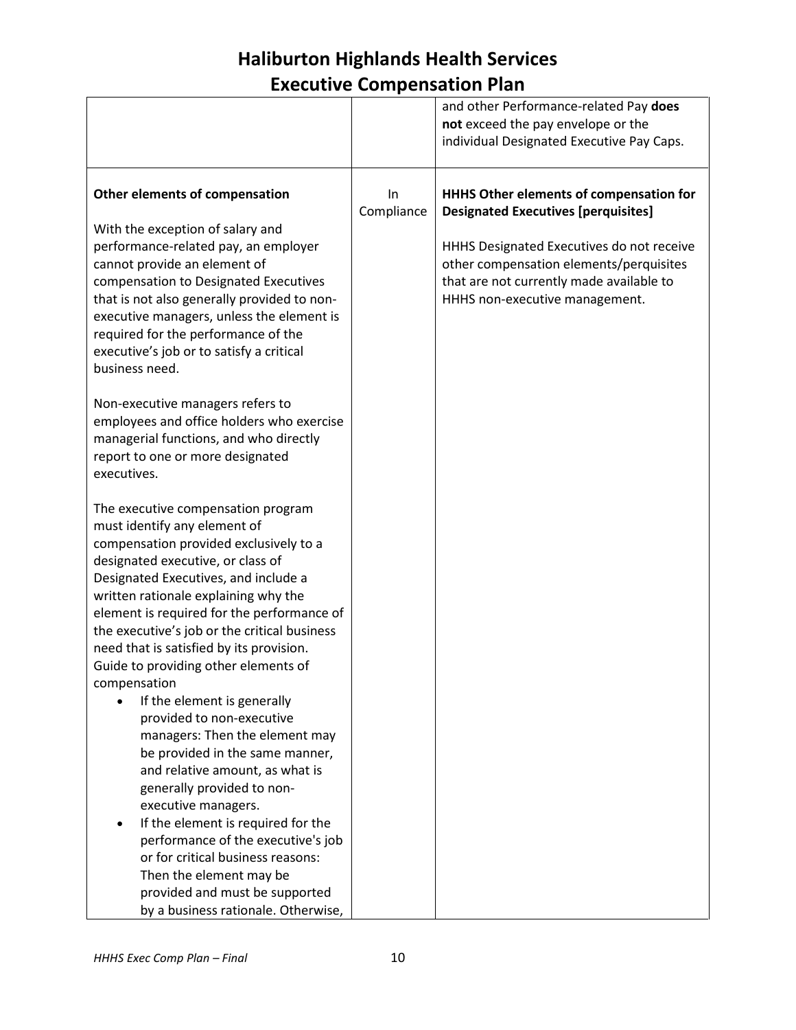|                                                                                                                                                                                                                                                                                                                                                                                                                                                                                                                                                                                                                                                                                                                                                                                                                                                                                   |                  | and other Performance-related Pay does<br>not exceed the pay envelope or the<br>individual Designated Executive Pay Caps.                                                     |
|-----------------------------------------------------------------------------------------------------------------------------------------------------------------------------------------------------------------------------------------------------------------------------------------------------------------------------------------------------------------------------------------------------------------------------------------------------------------------------------------------------------------------------------------------------------------------------------------------------------------------------------------------------------------------------------------------------------------------------------------------------------------------------------------------------------------------------------------------------------------------------------|------------------|-------------------------------------------------------------------------------------------------------------------------------------------------------------------------------|
| Other elements of compensation<br>With the exception of salary and<br>performance-related pay, an employer<br>cannot provide an element of                                                                                                                                                                                                                                                                                                                                                                                                                                                                                                                                                                                                                                                                                                                                        | In<br>Compliance | HHHS Other elements of compensation for<br><b>Designated Executives [perquisites]</b><br>HHHS Designated Executives do not receive<br>other compensation elements/perquisites |
| compensation to Designated Executives<br>that is not also generally provided to non-<br>executive managers, unless the element is<br>required for the performance of the<br>executive's job or to satisfy a critical<br>business need.                                                                                                                                                                                                                                                                                                                                                                                                                                                                                                                                                                                                                                            |                  | that are not currently made available to<br>HHHS non-executive management.                                                                                                    |
| Non-executive managers refers to<br>employees and office holders who exercise<br>managerial functions, and who directly<br>report to one or more designated<br>executives.                                                                                                                                                                                                                                                                                                                                                                                                                                                                                                                                                                                                                                                                                                        |                  |                                                                                                                                                                               |
| The executive compensation program<br>must identify any element of<br>compensation provided exclusively to a<br>designated executive, or class of<br>Designated Executives, and include a<br>written rationale explaining why the<br>element is required for the performance of<br>the executive's job or the critical business<br>need that is satisfied by its provision.<br>Guide to providing other elements of<br>compensation<br>If the element is generally<br>provided to non-executive<br>managers: Then the element may<br>be provided in the same manner,<br>and relative amount, as what is<br>generally provided to non-<br>executive managers.<br>If the element is required for the<br>performance of the executive's job<br>or for critical business reasons:<br>Then the element may be<br>provided and must be supported<br>by a business rationale. Otherwise, |                  |                                                                                                                                                                               |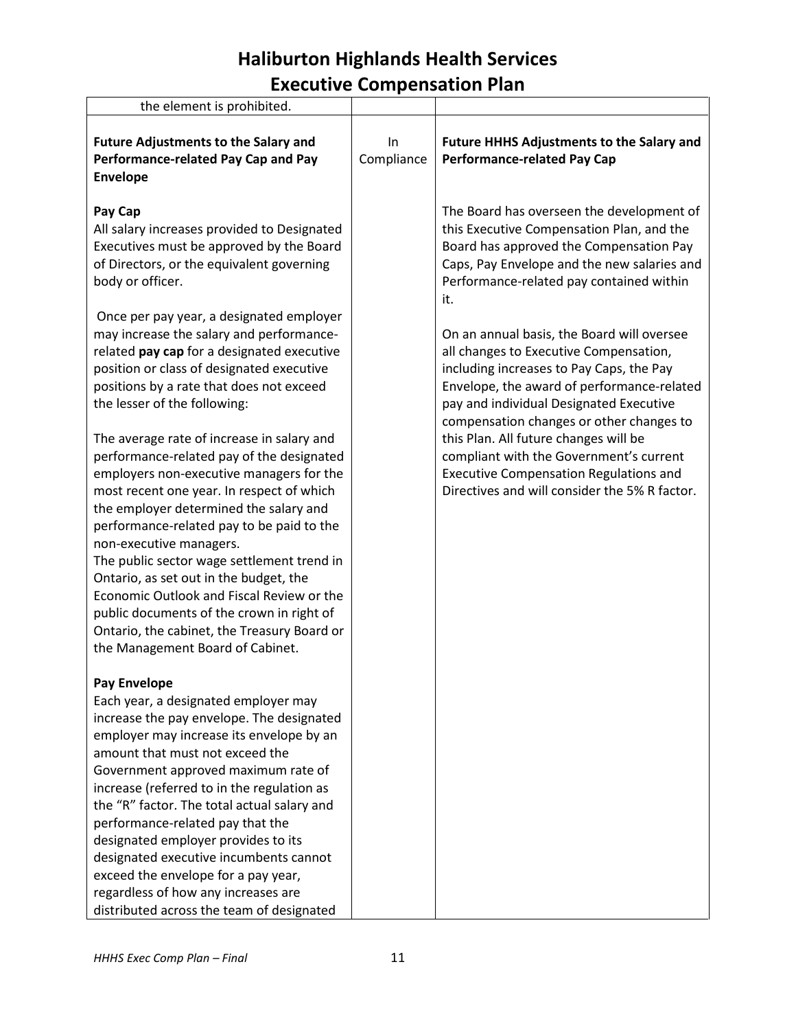| the element is prohibited.                                                                                                                                                                                                                                                                                                                                                                                                                                                                                                                                                                                                                                                                                                                                                                                                                                                                                                                                                                                    |                  |                                                                                                                                                                                                                                                                                                                                                                                                                                                                                                                                                                                                                                                                                                    |
|---------------------------------------------------------------------------------------------------------------------------------------------------------------------------------------------------------------------------------------------------------------------------------------------------------------------------------------------------------------------------------------------------------------------------------------------------------------------------------------------------------------------------------------------------------------------------------------------------------------------------------------------------------------------------------------------------------------------------------------------------------------------------------------------------------------------------------------------------------------------------------------------------------------------------------------------------------------------------------------------------------------|------------------|----------------------------------------------------------------------------------------------------------------------------------------------------------------------------------------------------------------------------------------------------------------------------------------------------------------------------------------------------------------------------------------------------------------------------------------------------------------------------------------------------------------------------------------------------------------------------------------------------------------------------------------------------------------------------------------------------|
| <b>Future Adjustments to the Salary and</b><br>Performance-related Pay Cap and Pay<br><b>Envelope</b>                                                                                                                                                                                                                                                                                                                                                                                                                                                                                                                                                                                                                                                                                                                                                                                                                                                                                                         | In<br>Compliance | <b>Future HHHS Adjustments to the Salary and</b><br><b>Performance-related Pay Cap</b>                                                                                                                                                                                                                                                                                                                                                                                                                                                                                                                                                                                                             |
| Pay Cap<br>All salary increases provided to Designated<br>Executives must be approved by the Board<br>of Directors, or the equivalent governing<br>body or officer.<br>Once per pay year, a designated employer<br>may increase the salary and performance-<br>related pay cap for a designated executive<br>position or class of designated executive<br>positions by a rate that does not exceed<br>the lesser of the following:<br>The average rate of increase in salary and<br>performance-related pay of the designated<br>employers non-executive managers for the<br>most recent one year. In respect of which<br>the employer determined the salary and<br>performance-related pay to be paid to the<br>non-executive managers.<br>The public sector wage settlement trend in<br>Ontario, as set out in the budget, the<br>Economic Outlook and Fiscal Review or the<br>public documents of the crown in right of<br>Ontario, the cabinet, the Treasury Board or<br>the Management Board of Cabinet. |                  | The Board has overseen the development of<br>this Executive Compensation Plan, and the<br>Board has approved the Compensation Pay<br>Caps, Pay Envelope and the new salaries and<br>Performance-related pay contained within<br>it.<br>On an annual basis, the Board will oversee<br>all changes to Executive Compensation,<br>including increases to Pay Caps, the Pay<br>Envelope, the award of performance-related<br>pay and individual Designated Executive<br>compensation changes or other changes to<br>this Plan. All future changes will be<br>compliant with the Government's current<br><b>Executive Compensation Regulations and</b><br>Directives and will consider the 5% R factor. |
| <b>Pay Envelope</b><br>Each year, a designated employer may<br>increase the pay envelope. The designated<br>employer may increase its envelope by an<br>amount that must not exceed the<br>Government approved maximum rate of<br>increase (referred to in the regulation as<br>the "R" factor. The total actual salary and<br>performance-related pay that the<br>designated employer provides to its<br>designated executive incumbents cannot<br>exceed the envelope for a pay year,<br>regardless of how any increases are<br>distributed across the team of designated                                                                                                                                                                                                                                                                                                                                                                                                                                   |                  |                                                                                                                                                                                                                                                                                                                                                                                                                                                                                                                                                                                                                                                                                                    |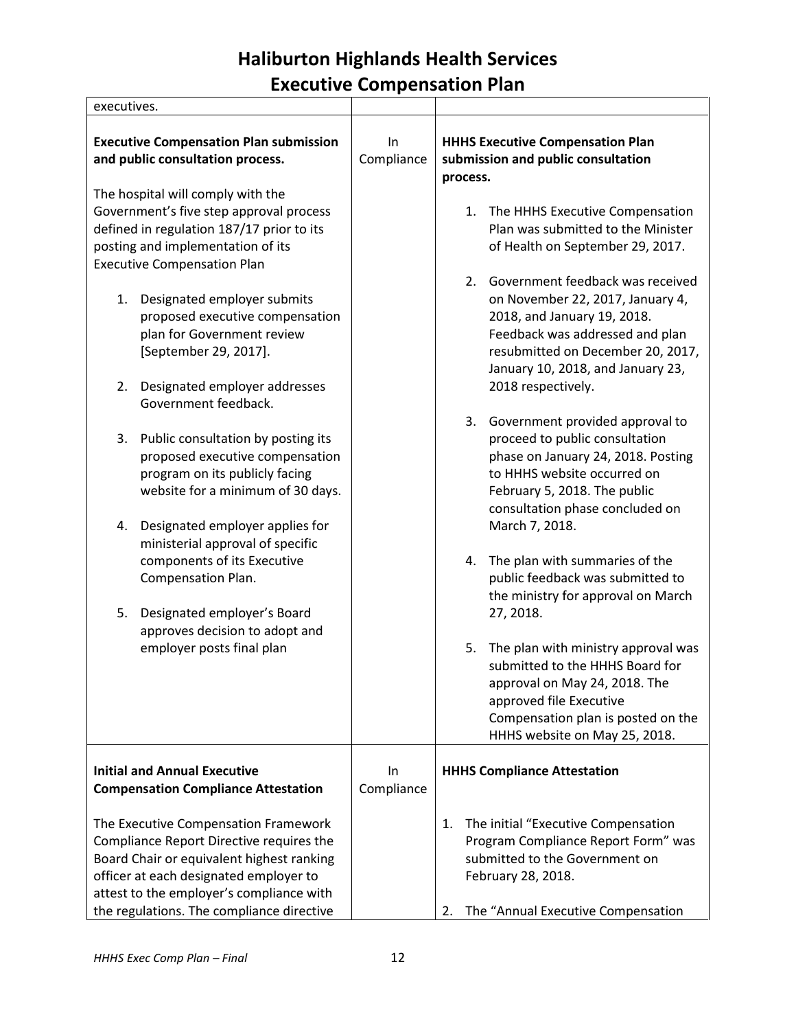| executives.                                                                                                                                                                                                                                                                                                                                                                                                      |                  |                                                                                                                                                                                                                                                                                                                                                                                                                                                                                                                                                                                  |
|------------------------------------------------------------------------------------------------------------------------------------------------------------------------------------------------------------------------------------------------------------------------------------------------------------------------------------------------------------------------------------------------------------------|------------------|----------------------------------------------------------------------------------------------------------------------------------------------------------------------------------------------------------------------------------------------------------------------------------------------------------------------------------------------------------------------------------------------------------------------------------------------------------------------------------------------------------------------------------------------------------------------------------|
| <b>Executive Compensation Plan submission</b><br>and public consultation process.                                                                                                                                                                                                                                                                                                                                | In<br>Compliance | <b>HHHS Executive Compensation Plan</b><br>submission and public consultation<br>process.                                                                                                                                                                                                                                                                                                                                                                                                                                                                                        |
| The hospital will comply with the<br>Government's five step approval process<br>defined in regulation 187/17 prior to its<br>posting and implementation of its<br><b>Executive Compensation Plan</b><br>Designated employer submits<br>1.<br>proposed executive compensation<br>plan for Government review<br>[September 29, 2017].<br>2.<br>Designated employer addresses                                       |                  | 1. The HHHS Executive Compensation<br>Plan was submitted to the Minister<br>of Health on September 29, 2017.<br>Government feedback was received<br>2.<br>on November 22, 2017, January 4,<br>2018, and January 19, 2018.<br>Feedback was addressed and plan<br>resubmitted on December 20, 2017,<br>January 10, 2018, and January 23,<br>2018 respectively.                                                                                                                                                                                                                     |
| Government feedback.<br>Public consultation by posting its<br>3.<br>proposed executive compensation<br>program on its publicly facing<br>website for a minimum of 30 days.<br>Designated employer applies for<br>4.<br>ministerial approval of specific<br>components of its Executive<br>Compensation Plan.<br>Designated employer's Board<br>5.<br>approves decision to adopt and<br>employer posts final plan |                  | 3.<br>Government provided approval to<br>proceed to public consultation<br>phase on January 24, 2018. Posting<br>to HHHS website occurred on<br>February 5, 2018. The public<br>consultation phase concluded on<br>March 7, 2018.<br>The plan with summaries of the<br>4.<br>public feedback was submitted to<br>the ministry for approval on March<br>27, 2018.<br>5. The plan with ministry approval was<br>submitted to the HHHS Board for<br>approval on May 24, 2018. The<br>approved file Executive<br>Compensation plan is posted on the<br>HHHS website on May 25, 2018. |
| <b>Initial and Annual Executive</b><br><b>Compensation Compliance Attestation</b>                                                                                                                                                                                                                                                                                                                                | In<br>Compliance | <b>HHHS Compliance Attestation</b>                                                                                                                                                                                                                                                                                                                                                                                                                                                                                                                                               |
| The Executive Compensation Framework<br>Compliance Report Directive requires the<br>Board Chair or equivalent highest ranking<br>officer at each designated employer to<br>attest to the employer's compliance with<br>the regulations. The compliance directive                                                                                                                                                 |                  | The initial "Executive Compensation<br>1.<br>Program Compliance Report Form" was<br>submitted to the Government on<br>February 28, 2018.<br>The "Annual Executive Compensation<br>2.                                                                                                                                                                                                                                                                                                                                                                                             |